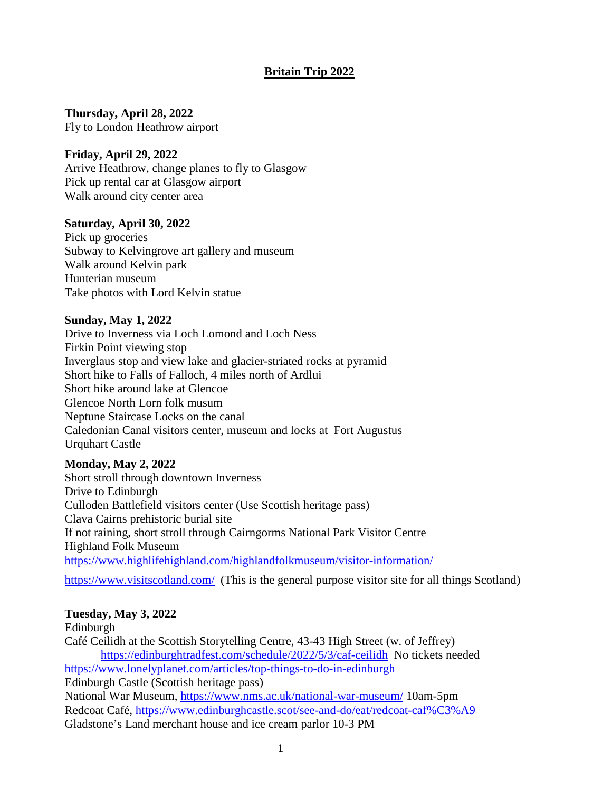# **Britain Trip 2022**

**Thursday, April 28, 2022**  Fly to London Heathrow airport

### **Friday, April 29, 2022**

Arrive Heathrow, change planes to fly to Glasgow Pick up rental car at Glasgow airport Walk around city center area

### **Saturday, April 30, 2022**

Pick up groceries Subway to Kelvingrove art gallery and museum Walk around Kelvin park Hunterian museum Take photos with Lord Kelvin statue

#### **Sunday, May 1, 2022**

Drive to Inverness via Loch Lomond and Loch Ness Firkin Point viewing stop Inverglaus stop and view lake and glacier-striated rocks at pyramid Short hike to Falls of Falloch, 4 miles north of Ardlui Short hike around lake at Glencoe Glencoe North Lorn folk musum Neptune Staircase Locks on the canal Caledonian Canal visitors center, museum and locks at Fort Augustus Urquhart Castle

### **Monday, May 2, 2022**

Short stroll through downtown Inverness Drive to Edinburgh Culloden Battlefield visitors center (Use Scottish heritage pass) Clava Cairns prehistoric burial site If not raining, short stroll through Cairngorms National Park Visitor Centre Highland Folk Museum https://www.highlifehighland.com/highlandfolkmuseum/visitor-information/

https://www.visitscotland.com/ (This is the general purpose visitor site for all things Scotland)

# **Tuesday, May 3, 2022**

Edinburgh Café Ceilidh at the Scottish Storytelling Centre, 43-43 High Street (w. of Jeffrey) https://edinburghtradfest.com/schedule/2022/5/3/caf-ceilidh No tickets needed https://www.lonelyplanet.com/articles/top-things-to-do-in-edinburgh Edinburgh Castle (Scottish heritage pass) National War Museum, https://www.nms.ac.uk/national-war-museum/ 10am-5pm Redcoat Café, https://www.edinburghcastle.scot/see-and-do/eat/redcoat-caf%C3%A9 Gladstone's Land merchant house and ice cream parlor 10-3 PM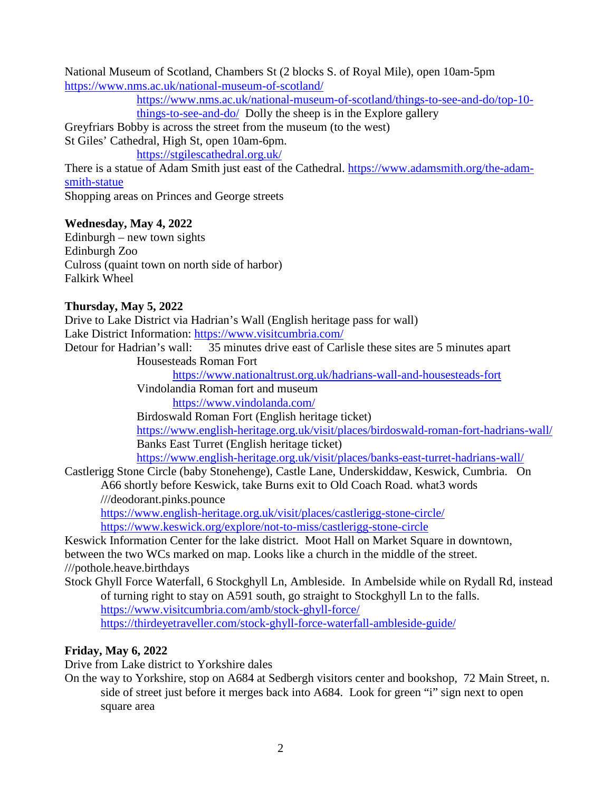National Museum of Scotland, Chambers St (2 blocks S. of Royal Mile), open 10am-5pm https://www.nms.ac.uk/national-museum-of-scotland/

> https://www.nms.ac.uk/national-museum-of-scotland/things-to-see-and-do/top-10 things-to-see-and-do/ Dolly the sheep is in the Explore gallery

Greyfriars Bobby is across the street from the museum (to the west)

St Giles' Cathedral, High St, open 10am-6pm.

https://stgilescathedral.org.uk/

There is a statue of Adam Smith just east of the Cathedral. https://www.adamsmith.org/the-adamsmith-statue

Shopping areas on Princes and George streets

# **Wednesday, May 4, 2022**

 $Edinburgh - new town sights$ Edinburgh Zoo Culross (quaint town on north side of harbor) Falkirk Wheel

# **Thursday, May 5, 2022**

Drive to Lake District via Hadrian's Wall (English heritage pass for wall) Lake District Information: https://www.visitcumbria.com/

Detour for Hadrian's wall: 35 minutes drive east of Carlisle these sites are 5 minutes apart

Housesteads Roman Fort

https://www.nationaltrust.org.uk/hadrians-wall-and-housesteads-fort

Vindolandia Roman fort and museum

https://www.vindolanda.com/

Birdoswald Roman Fort (English heritage ticket) https://www.english-heritage.org.uk/visit/places/birdoswald-roman-fort-hadrians-wall/ Banks East Turret (English heritage ticket)

https://www.english-heritage.org.uk/visit/places/banks-east-turret-hadrians-wall/

Castlerigg Stone Circle (baby Stonehenge), Castle Lane, Underskiddaw, Keswick, Cumbria. On A66 shortly before Keswick, take Burns exit to Old Coach Road. what3 words

///deodorant.pinks.pounce

https://www.english-heritage.org.uk/visit/places/castlerigg-stone-circle/ https://www.keswick.org/explore/not-to-miss/castlerigg-stone-circle

Keswick Information Center for the lake district. Moot Hall on Market Square in downtown, between the two WCs marked on map. Looks like a church in the middle of the street. ///pothole.heave.birthdays

Stock Ghyll Force Waterfall, 6 Stockghyll Ln, Ambleside. In Ambelside while on Rydall Rd, instead of turning right to stay on A591 south, go straight to Stockghyll Ln to the falls. https://www.visitcumbria.com/amb/stock-ghyll-force/ https://thirdeyetraveller.com/stock-ghyll-force-waterfall-ambleside-guide/

# **Friday, May 6, 2022**

Drive from Lake district to Yorkshire dales

On the way to Yorkshire, stop on A684 at Sedbergh visitors center and bookshop, 72 Main Street, n. side of street just before it merges back into A684. Look for green "i" sign next to open square area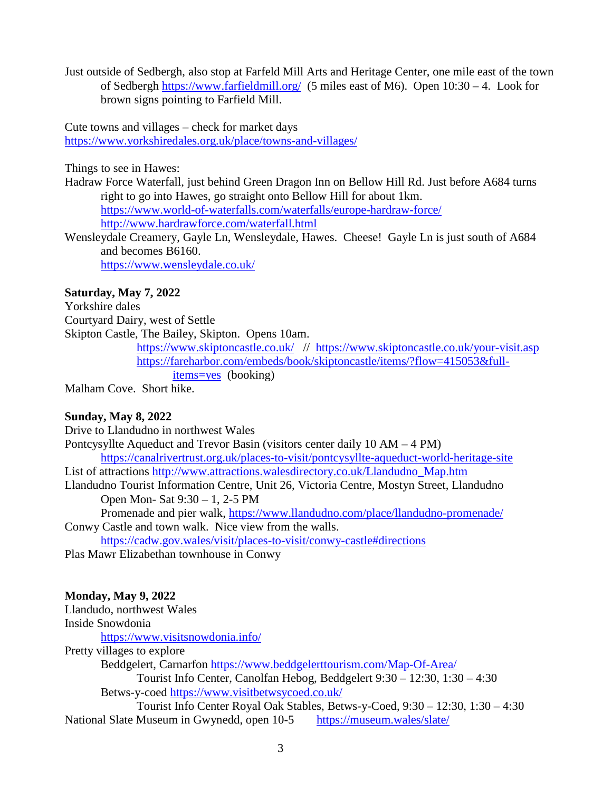Just outside of Sedbergh, also stop at Farfeld Mill Arts and Heritage Center, one mile east of the town of Sedbergh https://www.farfieldmill.org/ (5 miles east of M6). Open 10:30 – 4. Look for brown signs pointing to Farfield Mill.

Cute towns and villages – check for market days https://www.yorkshiredales.org.uk/place/towns-and-villages/

Things to see in Hawes:

Hadraw Force Waterfall, just behind Green Dragon Inn on Bellow Hill Rd. Just before A684 turns right to go into Hawes, go straight onto Bellow Hill for about 1km. https://www.world-of-waterfalls.com/waterfalls/europe-hardraw-force/ http://www.hardrawforce.com/waterfall.html

Wensleydale Creamery, Gayle Ln, Wensleydale, Hawes. Cheese! Gayle Ln is just south of A684 and becomes B6160. https://www.wensleydale.co.uk/

## **Saturday, May 7, 2022**

Yorkshire dales Courtyard Dairy, west of Settle Skipton Castle, The Bailey, Skipton. Opens 10am.

https://www.skiptoncastle.co.uk/ // https://www.skiptoncastle.co.uk/your-visit.asp https://fareharbor.com/embeds/book/skiptoncastle/items/?flow=415053&fullitems=yes (booking)

Malham Cove. Short hike.

### **Sunday, May 8, 2022**

Drive to Llandudno in northwest Wales Pontcysyllte Aqueduct and Trevor Basin (visitors center daily 10 AM – 4 PM) https://canalrivertrust.org.uk/places-to-visit/pontcysyllte-aqueduct-world-heritage-site List of attractions http://www.attractions.walesdirectory.co.uk/Llandudno\_Map.htm Llandudno Tourist Information Centre, Unit 26, Victoria Centre, Mostyn Street, Llandudno Open Mon- Sat 9:30 – 1, 2-5 PM Promenade and pier walk, https://www.llandudno.com/place/llandudno-promenade/ Conwy Castle and town walk. Nice view from the walls. https://cadw.gov.wales/visit/places-to-visit/conwy-castle#directions

Plas Mawr Elizabethan townhouse in Conwy

### **Monday, May 9, 2022**

Llandudo, northwest Wales Inside Snowdonia https://www.visitsnowdonia.info/ Pretty villages to explore Beddgelert, Carnarfon https://www.beddgelerttourism.com/Map-Of-Area/ Tourist Info Center, Canolfan Hebog, Beddgelert 9:30 – 12:30, 1:30 – 4:30 Betws-y-coed https://www.visitbetwsycoed.co.uk/ Tourist Info Center Royal Oak Stables, Betws-y-Coed, 9:30 – 12:30, 1:30 – 4:30

National Slate Museum in Gwynedd, open 10-5 https://museum.wales/slate/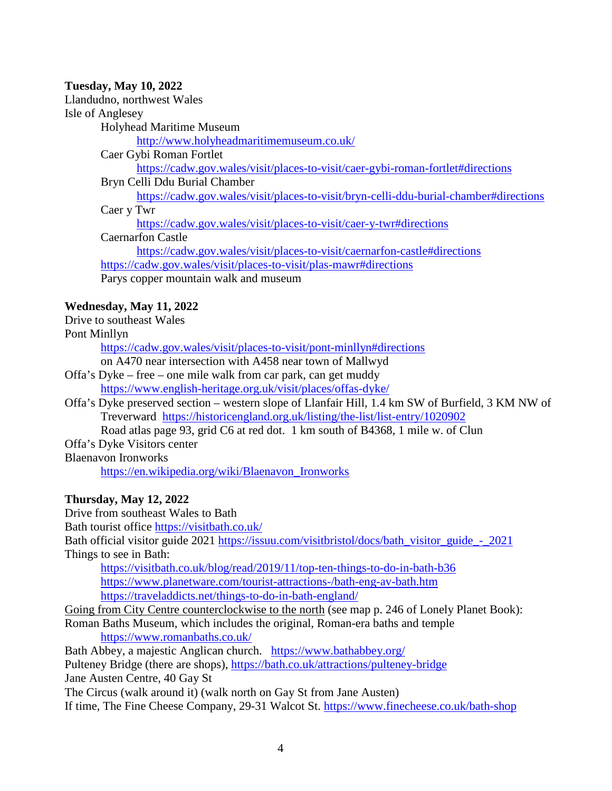## **Tuesday, May 10, 2022**

Llandudno, northwest Wales

Isle of Anglesey

Holyhead Maritime Museum

http://www.holyheadmaritimemuseum.co.uk/

Caer Gybi Roman Fortlet

https://cadw.gov.wales/visit/places-to-visit/caer-gybi-roman-fortlet#directions

Bryn Celli Ddu Burial Chamber

https://cadw.gov.wales/visit/places-to-visit/bryn-celli-ddu-burial-chamber#directions Caer y Twr

https://cadw.gov.wales/visit/places-to-visit/caer-y-twr#directions

Caernarfon Castle

https://cadw.gov.wales/visit/places-to-visit/caernarfon-castle#directions https://cadw.gov.wales/visit/places-to-visit/plas-mawr#directions Parys copper mountain walk and museum

# **Wednesday, May 11, 2022**

Drive to southeast Wales

Pont Minllyn

https://cadw.gov.wales/visit/places-to-visit/pont-minllyn#directions

on A470 near intersection with A458 near town of Mallwyd

- Offa's Dyke free one mile walk from car park, can get muddy https://www.english-heritage.org.uk/visit/places/offas-dyke/
- Offa's Dyke preserved section western slope of Llanfair Hill, 1.4 km SW of Burfield, 3 KM NW of Treverward https://historicengland.org.uk/listing/the-list/list-entry/1020902

Road atlas page 93, grid C6 at red dot. 1 km south of B4368, 1 mile w. of Clun

Offa's Dyke Visitors center

Blaenavon Ironworks

https://en.wikipedia.org/wiki/Blaenavon\_Ironworks

# **Thursday, May 12, 2022**

Drive from southeast Wales to Bath

Bath tourist office https://visitbath.co.uk/

Bath official visitor guide 2021 https://issuu.com/visitbristol/docs/bath\_visitor\_guide - 2021 Things to see in Bath:

https://visitbath.co.uk/blog/read/2019/11/top-ten-things-to-do-in-bath-b36 https://www.planetware.com/tourist-attractions-/bath-eng-av-bath.htm https://traveladdicts.net/things-to-do-in-bath-england/

Going from City Centre counterclockwise to the north (see map p. 246 of Lonely Planet Book):

Roman Baths Museum, which includes the original, Roman-era baths and temple https://www.romanbaths.co.uk/

Bath Abbey, a majestic Anglican church. https://www.bathabbey.org/

Pulteney Bridge (there are shops), https://bath.co.uk/attractions/pulteney-bridge

Jane Austen Centre, 40 Gay St

The Circus (walk around it) (walk north on Gay St from Jane Austen)

If time, The Fine Cheese Company, 29-31 Walcot St. https://www.finecheese.co.uk/bath-shop